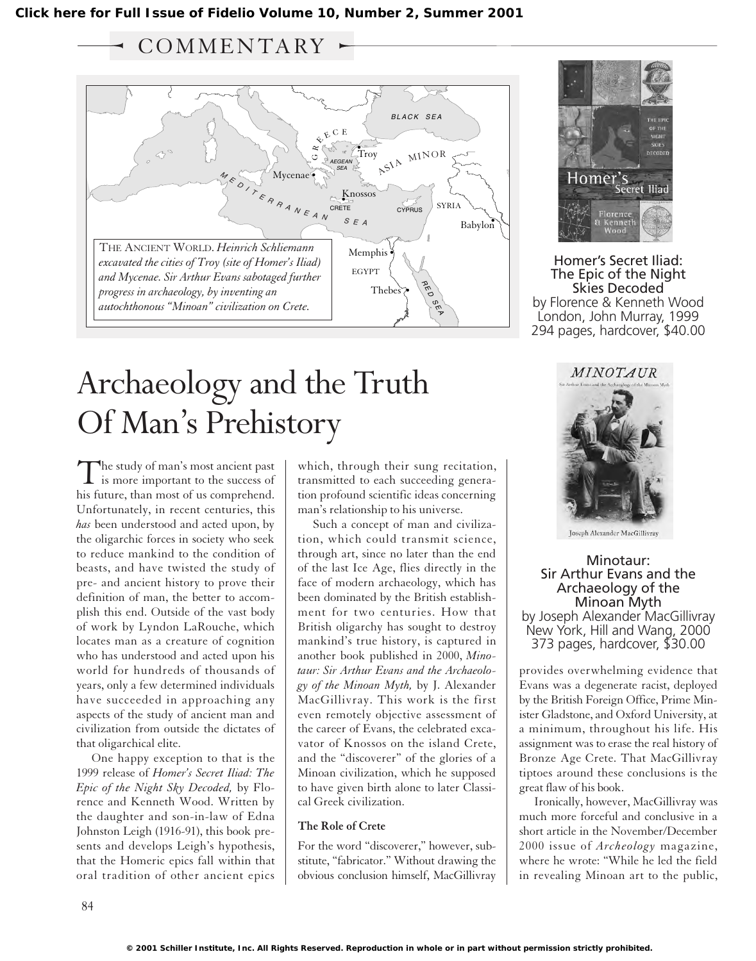## COMMENTARY



# Archaeology and the Truth Of Man's Prehistory

The study of man's most ancient past<br>is more important to the success of his future, than most of us comprehend. Unfortunately, in recent centuries, this *has* been understood and acted upon, by the oligarchic forces in society who seek to reduce mankind to the condition of beasts, and have twisted the study of pre- and ancient history to prove their definition of man, the better to accomplish this end. Outside of the vast body of work by Lyndon LaRouche, which locates man as a creature of cognition who has understood and acted upon his world for hundreds of thousands of years, only a few determined individuals have succeeded in approaching any aspects of the study of ancient man and civilization from outside the dictates of that oligarchical elite.

One happy exception to that is the 1999 release of *Homer's Secret Iliad: The Epic of the Night Sky Decoded,* by Florence and Kenneth Wood. Written by the daughter and son-in-law of Edna Johnston Leigh (1916-91), this book presents and develops Leigh's hypothesis, that the Homeric epics fall within that oral tradition of other ancient epics which, through their sung recitation, transmitted to each succeeding generation profound scientific ideas concerning man's relationship to his universe.

Such a concept of man and civilization, which could transmit science, through art, since no later than the end of the last Ice Age, flies directly in the face of modern archaeology, which has been dominated by the British establishment for two centuries. How that British oligarchy has sought to destroy mankind's true history, is captured in another book published in 2000, *Minotaur: Sir Arthur Evans and the Archaeology of the Minoan Myth,* by J. Alexander MacGillivray. This work is the first even remotely objective assessment of the career of Evans, the celebrated excavator of Knossos on the island Crete, and the "discoverer" of the glories of a Minoan civilization, which he supposed to have given birth alone to later Classical Greek civilization.

#### **The Role of Crete**

For the word "discoverer," however, substitute, "fabricator." Without drawing the obvious conclusion himself, MacGillivray



Homer's Secret Iliad: The Epic of the Night Skies Decoded by Florence & Kenneth Wood London, John Murray, 1999 294 pages, hardcover, \$40.00



Minotaur: Sir Arthur Evans and the Archaeology of the Minoan Myth by Joseph Alexander MacGillivray New York, Hill and Wang, 2000 373 pages, hardcover, \$30.00

provides overwhelming evidence that Evans was a degenerate racist, deployed by the British Foreign Office, Prime Minister Gladstone, and Oxford University, at a minimum, throughout his life. His assignment was to erase the real history of Bronze Age Crete. That MacGillivray tiptoes around these conclusions is the great flaw of his book.

Ironically, however, MacGillivray was much more forceful and conclusive in a short article in the November/December 2000 issue of *Archeology* magazine, where he wrote: "While he led the field in revealing Minoan art to the public,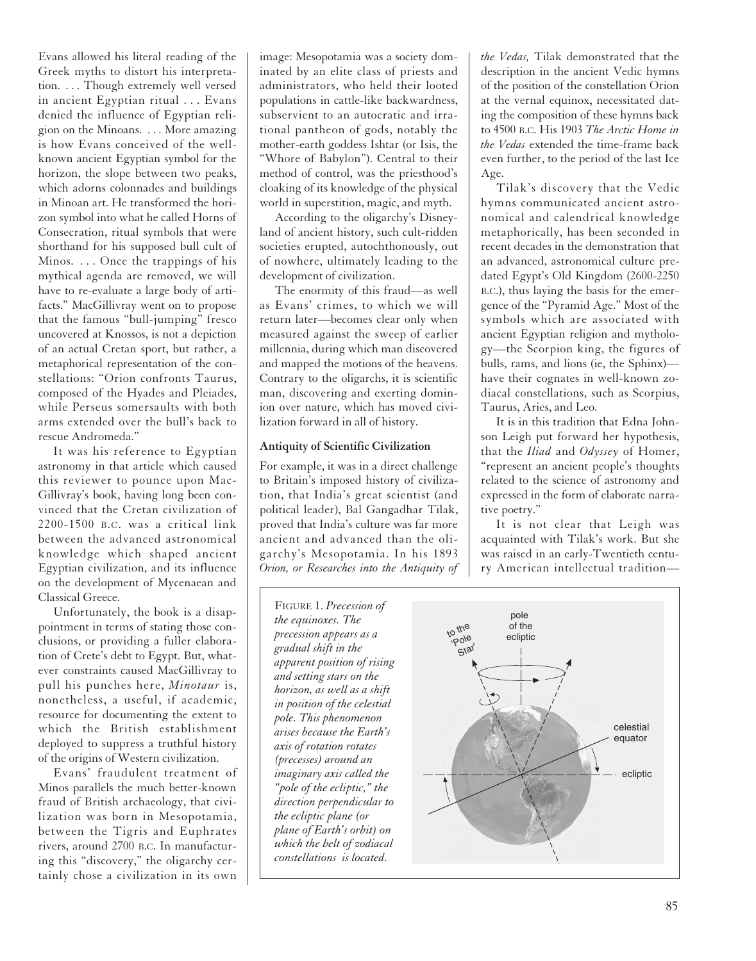Evans allowed his literal reading of the Greek myths to distort his interpretation. . . . Though extremely well versed in ancient Egyptian ritual . . . Evans denied the influence of Egyptian religion on the Minoans. . . . More amazing is how Evans conceived of the wellknown ancient Egyptian symbol for the horizon, the slope between two peaks, which adorns colonnades and buildings in Minoan art. He transformed the horizon symbol into what he called Horns of Consecration, ritual symbols that were shorthand for his supposed bull cult of Minos. . . . Once the trappings of his mythical agenda are removed, we will have to re-evaluate a large body of artifacts." MacGillivray went on to propose that the famous "bull-jumping" fresco uncovered at Knossos, is not a depiction of an actual Cretan sport, but rather, a metaphorical representation of the constellations: "Orion confronts Taurus, composed of the Hyades and Pleiades, while Perseus somersaults with both arms extended over the bull's back to rescue Andromeda."

It was his reference to Egyptian astronomy in that article which caused this reviewer to pounce upon Mac-Gillivray's book, having long been convinced that the Cretan civilization of 2200-1500 B.C. was a critical link between the advanced astronomical knowledge which shaped ancient Egyptian civilization, and its influence on the development of Mycenaean and Classical Greece.

Unfortunately, the book is a disappointment in terms of stating those conclusions, or providing a fuller elaboration of Crete's debt to Egypt. But, whatever constraints caused MacGillivray to pull his punches here, *Minotaur* is, nonetheless, a useful, if academic, resource for documenting the extent to which the British establishment deployed to suppress a truthful history of the origins of Western civilization.

Evans' fraudulent treatment of Minos parallels the much better-known fraud of British archaeology, that civilization was born in Mesopotamia, between the Tigris and Euphrates rivers, around 2700 B.C. In manufacturing this "discovery," the oligarchy certainly chose a civilization in its own

image: Mesopotamia was a society dominated by an elite class of priests and administrators, who held their looted populations in cattle-like backwardness, subservient to an autocratic and irrational pantheon of gods, notably the mother-earth goddess Ishtar (or Isis, the "Whore of Babylon"). Central to their method of control, was the priesthood's cloaking of its knowledge of the physical world in superstition, magic, and myth.

According to the oligarchy's Disneyland of ancient history, such cult-ridden societies erupted, autochthonously, out of nowhere, ultimately leading to the development of civilization.

The enormity of this fraud—as well as Evans' crimes, to which we will return later—becomes clear only when measured against the sweep of earlier millennia, during which man discovered and mapped the motions of the heavens. Contrary to the oligarchs, it is scientific man, discovering and exerting dominion over nature, which has moved civilization forward in all of history.

#### **Antiquity of Scientific Civilization**

For example, it was in a direct challenge to Britain's imposed history of civilization, that India's great scientist (and political leader), Bal Gangadhar Tilak, proved that India's culture was far more ancient and advanced than the oligarchy's Mesopotamia. In his 1893 *Orion, or Researches into the Antiquity of* *the Vedas,* Tilak demonstrated that the description in the ancient Vedic hymns of the position of the constellation Orion at the vernal equinox, necessitated dating the composition of these hymns back to 4500 B.C. His 1903 *The Arctic Home in the Vedas* extended the time-frame back even further, to the period of the last Ice Age.

Tilak's discovery that the Vedic hymns communicated ancient astronomical and calendrical knowledge metaphorically, has been seconded in recent decades in the demonstration that an advanced, astronomical culture predated Egypt's Old Kingdom (2600-2250 B.C.), thus laying the basis for the emergence of the "Pyramid Age." Most of the symbols which are associated with ancient Egyptian religion and mythology—the Scorpion king, the figures of bulls, rams, and lions (ie, the Sphinx) have their cognates in well-known zodiacal constellations, such as Scorpius, Taurus, Aries, and Leo.

It is in this tradition that Edna Johnson Leigh put forward her hypothesis, that the *Iliad* and *Odyssey* of Homer, "represent an ancient people's thoughts related to the science of astronomy and expressed in the form of elaborate narrative poetry."

It is not clear that Leigh was acquainted with Tilak's work. But she was raised in an early-Twentieth century American intellectual tradition—

FIGURE 1. *Precession of the equinoxes. The precession appears as a gradual shift in the apparent position of rising and setting stars on the horizon, as well as a shift in position of the celestial pole. This phenomenon arises because the Earth's axis of rotation rotates (precesses) around an imaginary axis called the "pole of the ecliptic," the direction perpendicular to the ecliptic plane (or plane of Earth's orbit) on which the belt of zodiacal constellations is located.*

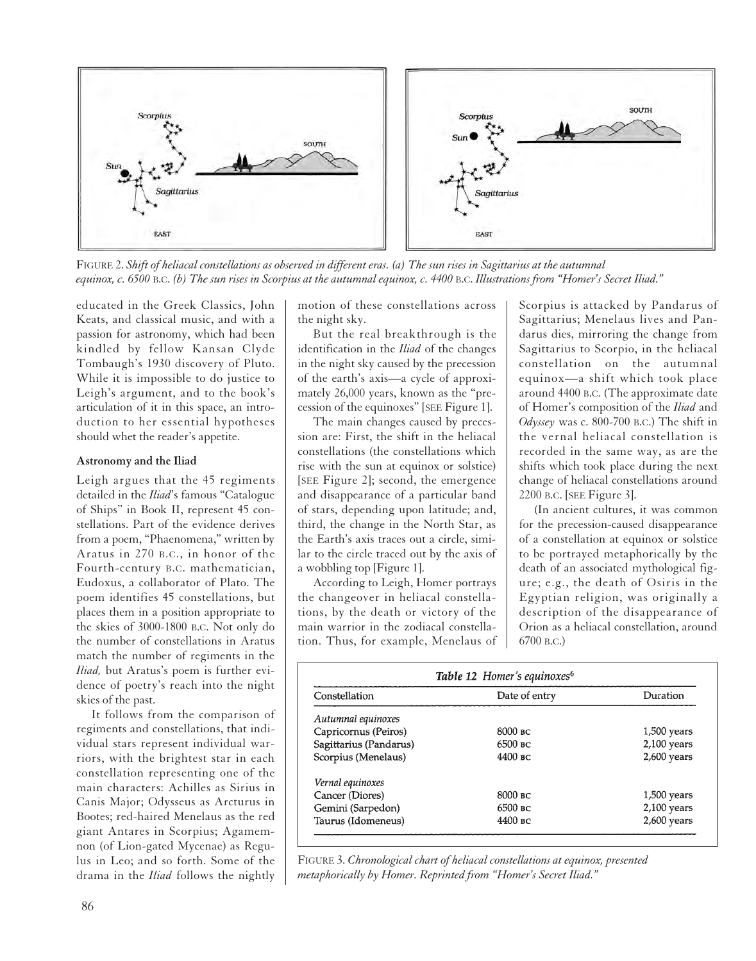

FIGURE 2. *Shift of heliacal constellations as observed in different eras. (a) The sun rises in Sagittarius at the autumnal equinox, c. 6500* B.C. *(b) The sun rises in Scorpius at the autumnal equinox, c. 4400* B.C. *Illustrations from "Homer's Secret Iliad."*

educated in the Greek Classics, John Keats, and classical music, and with a passion for astronomy, which had been kindled by fellow Kansan Clyde Tombaugh's 1930 discovery of Pluto. While it is impossible to do justice to Leigh's argument, and to the book's articulation of it in this space, an introduction to her essential hypotheses should whet the reader's appetite.

#### **Astronomy and the Iliad**

Leigh argues that the 45 regiments detailed in the *Iliad*'s famous "Catalogue of Ships" in Book II, represent 45 constellations. Part of the evidence derives from a poem, "Phaenomena," written by Aratus in 270 B.C., in honor of the Fourth-century B.C. mathematician, Eudoxus, a collaborator of Plato. The poem identifies 45 constellations, but places them in a position appropriate to the skies of 3000-1800 B.C. Not only do the number of constellations in Aratus match the number of regiments in the *Iliad,* but Aratus's poem is further evidence of poetry's reach into the night skies of the past.

It follows from the comparison of regiments and constellations, that individual stars represent individual warriors, with the brightest star in each constellation representing one of the main characters: Achilles as Sirius in Canis Major; Odysseus as Arcturus in Bootes; red-haired Menelaus as the red giant Antares in Scorpius; Agamemnon (of Lion-gated Mycenae) as Regulus in Leo; and so forth. Some of the drama in the *Iliad* follows the nightly

motion of these constellations across the night sky.

But the real breakthrough is the identification in the *Iliad* of the changes in the night sky caused by the precession of the earth's axis—a cycle of approximately 26,000 years, known as the "precession of the equinoxes" [SEE Figure 1].

The main changes caused by precession are: First, the shift in the heliacal constellations (the constellations which rise with the sun at equinox or solstice) [SEE Figure 2]; second, the emergence and disappearance of a particular band of stars, depending upon latitude; and, third, the change in the North Star, as the Earth's axis traces out a circle, similar to the circle traced out by the axis of a wobbling top [Figure 1].

According to Leigh, Homer portrays the changeover in heliacal constellations, by the death or victory of the main warrior in the zodiacal constellation. Thus, for example, Menelaus of Scorpius is attacked by Pandarus of Sagittarius; Menelaus lives and Pandarus dies, mirroring the change from Sagittarius to Scorpio, in the heliacal constellation on the autumnal equinox—a shift which took place around 4400 B.C. (The approximate date of Homer's composition of the *Iliad* and *Odyssey* was c. 800-700 B.C.) The shift in the vernal heliacal constellation is recorded in the same way, as are the shifts which took place during the next change of heliacal constellations around 2200 B.C. [SEE Figure 3].

(In ancient cultures, it was common for the precession-caused disappearance of a constellation at equinox or solstice to be portrayed metaphorically by the death of an associated mythological figure; e.g., the death of Osiris in the Egyptian religion, was originally a description of the disappearance of Orion as a heliacal constellation, around 6700 B.C.)

| Constellation          | Date of entry | Duration      |
|------------------------|---------------|---------------|
| Autumnal equinoxes     |               |               |
| Capricornus (Peiros)   | 8000 вс       | $1,500$ years |
| Sagittarius (Pandarus) | 6500 вс       | $2,100$ years |
| Scorpius (Menelaus)    | 4400 вс       | $2,600$ years |
| Vernal equinoxes       |               |               |
| Cancer (Diores)        | $8000$ BC     | $1,500$ years |
| Gemini (Sarpedon)      | 6500 вс       | $2,100$ years |
| Taurus (Idomeneus)     | 4400 вс       | $2,600$ years |

FIGURE 3. *Chronological chart of heliacal constellations at equinox, presented metaphorically by Homer. Reprinted from "Homer's Secret Iliad."*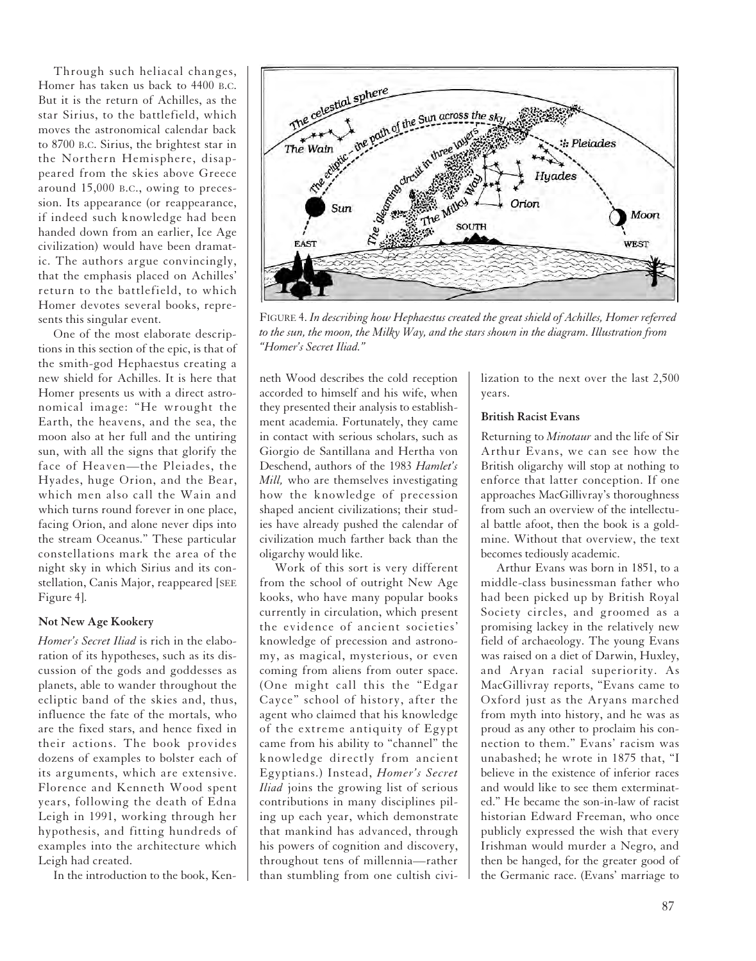Through such heliacal changes, Homer has taken us back to 4400 B.C. But it is the return of Achilles, as the star Sirius, to the battlefield, which moves the astronomical calendar back to 8700 B.C. Sirius, the brightest star in the Northern Hemisphere, disappeared from the skies above Greece around 15,000 B.C., owing to precession. Its appearance (or reappearance, if indeed such knowledge had been handed down from an earlier, Ice Age civilization) would have been dramatic. The authors argue convincingly, that the emphasis placed on Achilles' return to the battlefield, to which Homer devotes several books, represents this singular event.

One of the most elaborate descriptions in this section of the epic, is that of the smith-god Hephaestus creating a new shield for Achilles. It is here that Homer presents us with a direct astronomical image: "He wrought the Earth, the heavens, and the sea, the moon also at her full and the untiring sun, with all the signs that glorify the face of Heaven—the Pleiades, the Hyades, huge Orion, and the Bear, which men also call the Wain and which turns round forever in one place, facing Orion, and alone never dips into the stream Oceanus." These particular constellations mark the area of the night sky in which Sirius and its constellation, Canis Major, reappeared [SEE Figure 4].

#### **Not New Age Kookery**

*Homer's Secret Iliad* is rich in the elaboration of its hypotheses, such as its discussion of the gods and goddesses as planets, able to wander throughout the ecliptic band of the skies and, thus, influence the fate of the mortals, who are the fixed stars, and hence fixed in their actions. The book provides dozens of examples to bolster each of its arguments, which are extensive. Florence and Kenneth Wood spent years, following the death of Edna Leigh in 1991, working through her hypothesis, and fitting hundreds of examples into the architecture which Leigh had created.

In the introduction to the book, Ken-



FIGURE 4. *In describing how Hephaestus created the great shield of Achilles, Homer referred to the sun, the moon, the Milky Way, and the stars shown in the diagram. Illustration from "Homer's Secret Iliad."* 

neth Wood describes the cold reception accorded to himself and his wife, when they presented their analysis to establishment academia. Fortunately, they came in contact with serious scholars, such as Giorgio de Santillana and Hertha von Deschend, authors of the 1983 *Hamlet's Mill,* who are themselves investigating how the knowledge of precession shaped ancient civilizations; their studies have already pushed the calendar of civilization much farther back than the oligarchy would like.

Work of this sort is very different from the school of outright New Age kooks, who have many popular books currently in circulation, which present the evidence of ancient societies' knowledge of precession and astronomy, as magical, mysterious, or even coming from aliens from outer space. (One might call this the "Edgar Cayce" school of history, after the agent who claimed that his knowledge of the extreme antiquity of Egypt came from his ability to "channel" the knowledge directly from ancient Egyptians.) Instead, *Homer's Secret Iliad* joins the growing list of serious contributions in many disciplines piling up each year, which demonstrate that mankind has advanced, through his powers of cognition and discovery, throughout tens of millennia—rather than stumbling from one cultish civi-

lization to the next over the last 2,500 years.

#### **British Racist Evans**

Returning to *Minotaur* and the life of Sir Arthur Evans, we can see how the British oligarchy will stop at nothing to enforce that latter conception. If one approaches MacGillivray's thoroughness from such an overview of the intellectual battle afoot, then the book is a goldmine. Without that overview, the text becomes tediously academic.

Arthur Evans was born in 1851, to a middle-class businessman father who had been picked up by British Royal Society circles, and groomed as a promising lackey in the relatively new field of archaeology. The young Evans was raised on a diet of Darwin, Huxley, and Aryan racial superiority. As MacGillivray reports, "Evans came to Oxford just as the Aryans marched from myth into history, and he was as proud as any other to proclaim his connection to them." Evans' racism was unabashed; he wrote in 1875 that, "I believe in the existence of inferior races and would like to see them exterminated." He became the son-in-law of racist historian Edward Freeman, who once publicly expressed the wish that every Irishman would murder a Negro, and then be hanged, for the greater good of the Germanic race. (Evans' marriage to